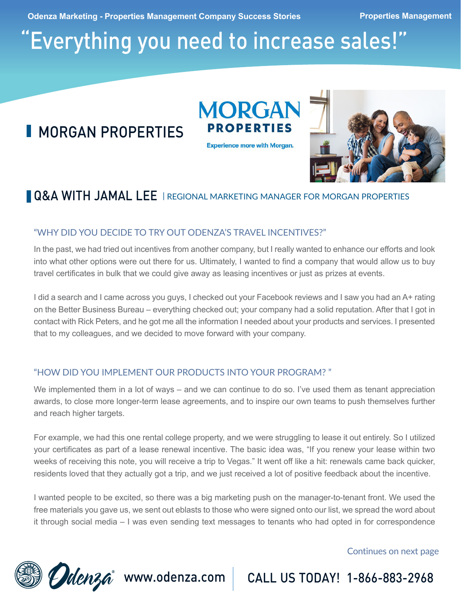**Odenza Marketing - Properties Management Company Success Stories <b>Properties Management** 

# "Everything you need to increase sales!"

# **MORGAN PROPERTIES**

**PROPERTIES Experience more with Morgan.** 

**MORGAN** 



## **Q&A WITH JAMAL LEE** | REGIONAL MARKETING MANAGER FOR MORGAN PROPERTIES

## "WHY DID YOU DECIDE TO TRY OUT ODENZA'S TRAVEL INCENTIVES?"

In the past, we had tried out incentives from another company, but I really wanted to enhance our efforts and look into what other options were out there for us. Ultimately, I wanted to find a company that would allow us to buy travel certificates in bulk that we could give away as leasing incentives or just as prizes at events.

I did a search and I came across you guys, I checked out your Facebook reviews and I saw you had an A+ rating on the Better Business Bureau – everything checked out; your company had a solid reputation. After that I got in contact with Rick Peters, and he got me all the information I needed about your products and services. I presented that to my colleagues, and we decided to move forward with your company.

## "HOW DID YOU IMPLEMENT OUR PRODUCTS INTO YOUR PROGRAM? "

We implemented them in a lot of ways – and we can continue to do so. I've used them as tenant appreciation awards, to close more longer-term lease agreements, and to inspire our own teams to push themselves further and reach higher targets.

For example, we had this one rental college property, and we were struggling to lease it out entirely. So I utilized your certificates as part of a lease renewal incentive. The basic idea was, "If you renew your lease within two weeks of receiving this note, you will receive a trip to Vegas." It went off like a hit: renewals came back quicker, residents loved that they actually got a trip, and we just received a lot of positive feedback about the incentive.

I wanted people to be excited, so there was a big marketing push on the manager-to-tenant front. We used the free materials you gave us, we sent out eblasts to those who were signed onto our list, we spread the word about it through social media – I was even sending text messages to tenants who had opted in for correspondence

### Continues on next page